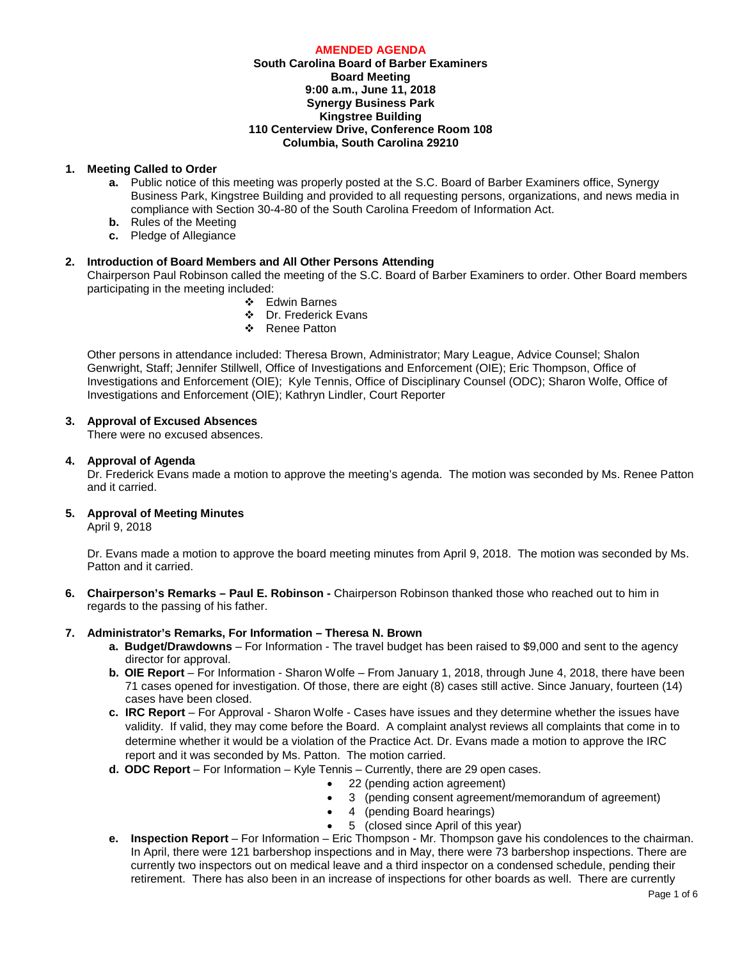### **AMENDED AGENDA South Carolina Board of Barber Examiners Board Meeting 9:00 a.m., June 11, 2018 Synergy Business Park Kingstree Building 110 Centerview Drive, Conference Room 108 Columbia, South Carolina 29210**

## **1. Meeting Called to Order**

- **a.** Public notice of this meeting was properly posted at the S.C. Board of Barber Examiners office, Synergy Business Park, Kingstree Building and provided to all requesting persons, organizations, and news media in compliance with Section 30-4-80 of the South Carolina Freedom of Information Act.
- **b.** Rules of the Meeting
- **c.** Pledge of Allegiance

# **2. Introduction of Board Members and All Other Persons Attending**

Chairperson Paul Robinson called the meeting of the S.C. Board of Barber Examiners to order. Other Board members participating in the meeting included:

- Edwin Barnes
- Dr. Frederick Evans
- ❖ Renee Patton

Other persons in attendance included: Theresa Brown, Administrator; Mary League, Advice Counsel; Shalon Genwright, Staff; Jennifer Stillwell, Office of Investigations and Enforcement (OIE); Eric Thompson, Office of Investigations and Enforcement (OIE); Kyle Tennis, Office of Disciplinary Counsel (ODC); Sharon Wolfe, Office of Investigations and Enforcement (OIE); Kathryn Lindler, Court Reporter

# **3. Approval of Excused Absences**

There were no excused absences.

## **4. Approval of Agenda**

Dr. Frederick Evans made a motion to approve the meeting's agenda. The motion was seconded by Ms. Renee Patton and it carried.

## **5. Approval of Meeting Minutes**

April 9, 2018

Dr. Evans made a motion to approve the board meeting minutes from April 9, 2018. The motion was seconded by Ms. Patton and it carried.

**6. Chairperson's Remarks – Paul E. Robinson -** Chairperson Robinson thanked those who reached out to him in regards to the passing of his father.

## **7. Administrator's Remarks, For Information – Theresa N. Brown**

- **a. Budget/Drawdowns** For Information The travel budget has been raised to \$9,000 and sent to the agency director for approval.
- **b. OIE Report**  For Information Sharon Wolfe From January 1, 2018, through June 4, 2018, there have been 71 cases opened for investigation. Of those, there are eight (8) cases still active. Since January, fourteen (14) cases have been closed.
- **c. IRC Report**  For Approval Sharon Wolfe Cases have issues and they determine whether the issues have validity. If valid, they may come before the Board. A complaint analyst reviews all complaints that come in to determine whether it would be a violation of the Practice Act. Dr. Evans made a motion to approve the IRC report and it was seconded by Ms. Patton. The motion carried.
- **d. ODC Report**  For Information Kyle Tennis Currently, there are 29 open cases.
	- 22 (pending action agreement)
	- 3 (pending consent agreement/memorandum of agreement)
	- 4 (pending Board hearings)
	- 5 (closed since April of this year)
- **e. Inspection Report** For Information Eric Thompson Mr. Thompson gave his condolences to the chairman. In April, there were 121 barbershop inspections and in May, there were 73 barbershop inspections. There are currently two inspectors out on medical leave and a third inspector on a condensed schedule, pending their retirement. There has also been in an increase of inspections for other boards as well. There are currently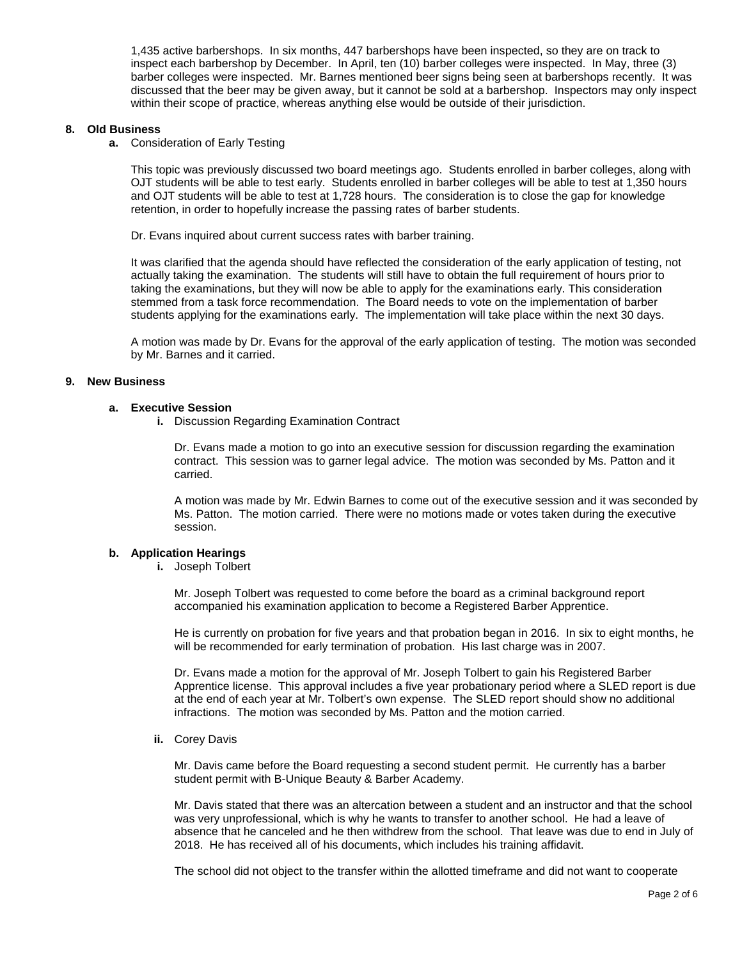1,435 active barbershops. In six months, 447 barbershops have been inspected, so they are on track to inspect each barbershop by December. In April, ten (10) barber colleges were inspected. In May, three (3) barber colleges were inspected. Mr. Barnes mentioned beer signs being seen at barbershops recently. It was discussed that the beer may be given away, but it cannot be sold at a barbershop. Inspectors may only inspect within their scope of practice, whereas anything else would be outside of their jurisdiction.

## **8. Old Business**

**a.** Consideration of Early Testing

This topic was previously discussed two board meetings ago. Students enrolled in barber colleges, along with OJT students will be able to test early. Students enrolled in barber colleges will be able to test at 1,350 hours and OJT students will be able to test at 1,728 hours. The consideration is to close the gap for knowledge retention, in order to hopefully increase the passing rates of barber students.

Dr. Evans inquired about current success rates with barber training.

It was clarified that the agenda should have reflected the consideration of the early application of testing, not actually taking the examination. The students will still have to obtain the full requirement of hours prior to taking the examinations, but they will now be able to apply for the examinations early. This consideration stemmed from a task force recommendation. The Board needs to vote on the implementation of barber students applying for the examinations early. The implementation will take place within the next 30 days.

A motion was made by Dr. Evans for the approval of the early application of testing. The motion was seconded by Mr. Barnes and it carried.

### **9. New Business**

#### **a. Executive Session**

**i.** Discussion Regarding Examination Contract

Dr. Evans made a motion to go into an executive session for discussion regarding the examination contract. This session was to garner legal advice. The motion was seconded by Ms. Patton and it carried.

A motion was made by Mr. Edwin Barnes to come out of the executive session and it was seconded by Ms. Patton. The motion carried. There were no motions made or votes taken during the executive session.

### **b. Application Hearings**

**i.** Joseph Tolbert

Mr. Joseph Tolbert was requested to come before the board as a criminal background report accompanied his examination application to become a Registered Barber Apprentice.

He is currently on probation for five years and that probation began in 2016. In six to eight months, he will be recommended for early termination of probation. His last charge was in 2007.

Dr. Evans made a motion for the approval of Mr. Joseph Tolbert to gain his Registered Barber Apprentice license. This approval includes a five year probationary period where a SLED report is due at the end of each year at Mr. Tolbert's own expense. The SLED report should show no additional infractions. The motion was seconded by Ms. Patton and the motion carried.

**ii.** Corey Davis

Mr. Davis came before the Board requesting a second student permit. He currently has a barber student permit with B-Unique Beauty & Barber Academy.

Mr. Davis stated that there was an altercation between a student and an instructor and that the school was very unprofessional, which is why he wants to transfer to another school. He had a leave of absence that he canceled and he then withdrew from the school. That leave was due to end in July of 2018. He has received all of his documents, which includes his training affidavit.

The school did not object to the transfer within the allotted timeframe and did not want to cooperate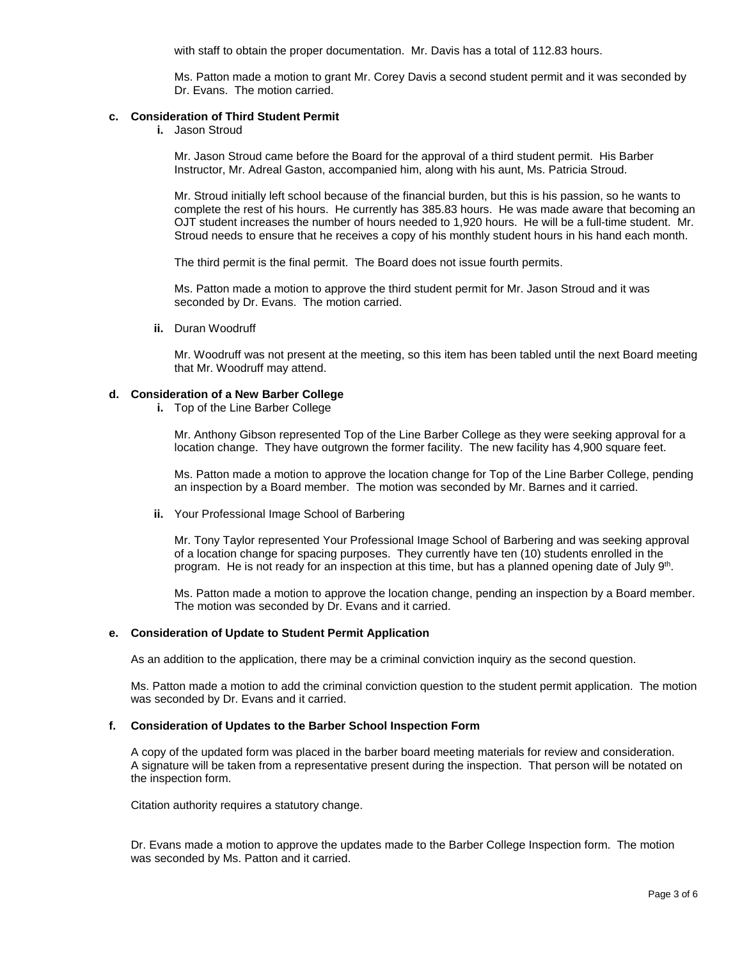with staff to obtain the proper documentation. Mr. Davis has a total of 112.83 hours.

Ms. Patton made a motion to grant Mr. Corey Davis a second student permit and it was seconded by Dr. Evans. The motion carried.

### **c. Consideration of Third Student Permit**

**i.** Jason Stroud

Mr. Jason Stroud came before the Board for the approval of a third student permit. His Barber Instructor, Mr. Adreal Gaston, accompanied him, along with his aunt, Ms. Patricia Stroud.

Mr. Stroud initially left school because of the financial burden, but this is his passion, so he wants to complete the rest of his hours. He currently has 385.83 hours. He was made aware that becoming an OJT student increases the number of hours needed to 1,920 hours. He will be a full-time student. Mr. Stroud needs to ensure that he receives a copy of his monthly student hours in his hand each month.

The third permit is the final permit. The Board does not issue fourth permits.

Ms. Patton made a motion to approve the third student permit for Mr. Jason Stroud and it was seconded by Dr. Evans. The motion carried.

**ii.** Duran Woodruff

Mr. Woodruff was not present at the meeting, so this item has been tabled until the next Board meeting that Mr. Woodruff may attend.

### **d. Consideration of a New Barber College**

**i.** Top of the Line Barber College

Mr. Anthony Gibson represented Top of the Line Barber College as they were seeking approval for a location change. They have outgrown the former facility. The new facility has 4,900 square feet.

Ms. Patton made a motion to approve the location change for Top of the Line Barber College, pending an inspection by a Board member. The motion was seconded by Mr. Barnes and it carried.

**ii.** Your Professional Image School of Barbering

Mr. Tony Taylor represented Your Professional Image School of Barbering and was seeking approval of a location change for spacing purposes. They currently have ten (10) students enrolled in the program. He is not ready for an inspection at this time, but has a planned opening date of July 9th.

Ms. Patton made a motion to approve the location change, pending an inspection by a Board member. The motion was seconded by Dr. Evans and it carried.

### **e. Consideration of Update to Student Permit Application**

As an addition to the application, there may be a criminal conviction inquiry as the second question.

Ms. Patton made a motion to add the criminal conviction question to the student permit application. The motion was seconded by Dr. Evans and it carried.

### **f. Consideration of Updates to the Barber School Inspection Form**

A copy of the updated form was placed in the barber board meeting materials for review and consideration. A signature will be taken from a representative present during the inspection. That person will be notated on the inspection form.

Citation authority requires a statutory change.

Dr. Evans made a motion to approve the updates made to the Barber College Inspection form. The motion was seconded by Ms. Patton and it carried.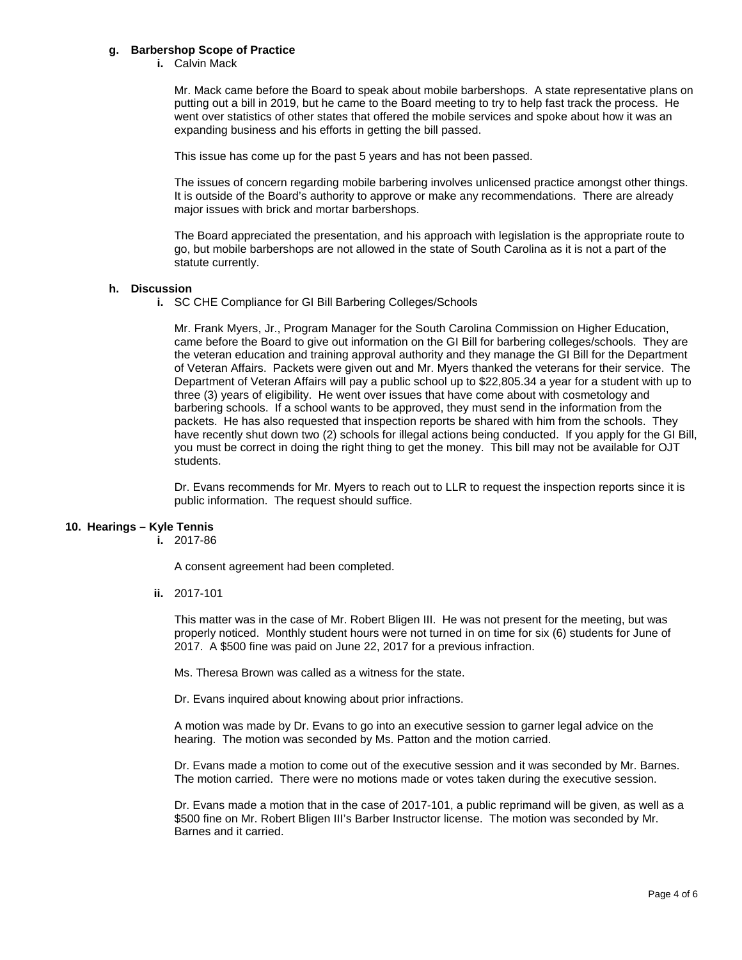### **g. Barbershop Scope of Practice**

**i.** Calvin Mack

Mr. Mack came before the Board to speak about mobile barbershops. A state representative plans on putting out a bill in 2019, but he came to the Board meeting to try to help fast track the process. He went over statistics of other states that offered the mobile services and spoke about how it was an expanding business and his efforts in getting the bill passed.

This issue has come up for the past 5 years and has not been passed.

The issues of concern regarding mobile barbering involves unlicensed practice amongst other things. It is outside of the Board's authority to approve or make any recommendations. There are already major issues with brick and mortar barbershops.

The Board appreciated the presentation, and his approach with legislation is the appropriate route to go, but mobile barbershops are not allowed in the state of South Carolina as it is not a part of the statute currently.

### **h. Discussion**

**i.** SC CHE Compliance for GI Bill Barbering Colleges/Schools

Mr. Frank Myers, Jr., Program Manager for the South Carolina Commission on Higher Education, came before the Board to give out information on the GI Bill for barbering colleges/schools. They are the veteran education and training approval authority and they manage the GI Bill for the Department of Veteran Affairs. Packets were given out and Mr. Myers thanked the veterans for their service. The Department of Veteran Affairs will pay a public school up to \$22,805.34 a year for a student with up to three (3) years of eligibility. He went over issues that have come about with cosmetology and barbering schools. If a school wants to be approved, they must send in the information from the packets. He has also requested that inspection reports be shared with him from the schools. They have recently shut down two (2) schools for illegal actions being conducted. If you apply for the GI Bill, you must be correct in doing the right thing to get the money. This bill may not be available for OJT students.

Dr. Evans recommends for Mr. Myers to reach out to LLR to request the inspection reports since it is public information. The request should suffice.

### **10. Hearings – Kyle Tennis**

**i.** 2017-86

A consent agreement had been completed.

**ii.** 2017-101

This matter was in the case of Mr. Robert Bligen III. He was not present for the meeting, but was properly noticed. Monthly student hours were not turned in on time for six (6) students for June of 2017. A \$500 fine was paid on June 22, 2017 for a previous infraction.

Ms. Theresa Brown was called as a witness for the state.

Dr. Evans inquired about knowing about prior infractions.

A motion was made by Dr. Evans to go into an executive session to garner legal advice on the hearing. The motion was seconded by Ms. Patton and the motion carried.

Dr. Evans made a motion to come out of the executive session and it was seconded by Mr. Barnes. The motion carried. There were no motions made or votes taken during the executive session.

Dr. Evans made a motion that in the case of 2017-101, a public reprimand will be given, as well as a \$500 fine on Mr. Robert Bligen III's Barber Instructor license. The motion was seconded by Mr. Barnes and it carried.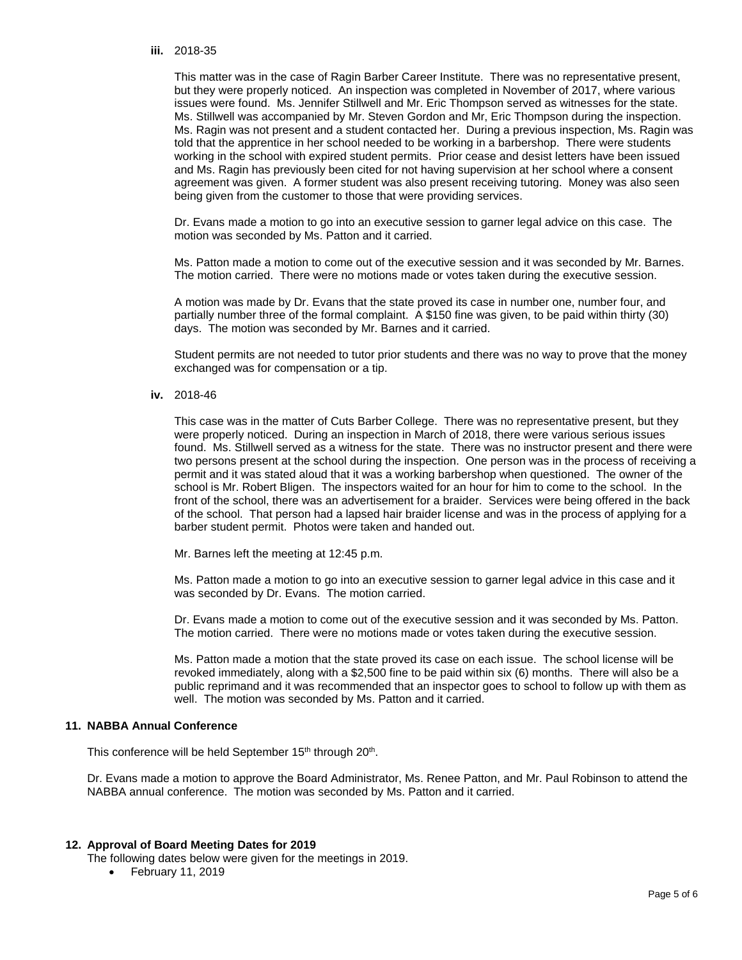#### **iii.** 2018-35

This matter was in the case of Ragin Barber Career Institute. There was no representative present, but they were properly noticed. An inspection was completed in November of 2017, where various issues were found. Ms. Jennifer Stillwell and Mr. Eric Thompson served as witnesses for the state. Ms. Stillwell was accompanied by Mr. Steven Gordon and Mr, Eric Thompson during the inspection. Ms. Ragin was not present and a student contacted her. During a previous inspection, Ms. Ragin was told that the apprentice in her school needed to be working in a barbershop. There were students working in the school with expired student permits. Prior cease and desist letters have been issued and Ms. Ragin has previously been cited for not having supervision at her school where a consent agreement was given. A former student was also present receiving tutoring. Money was also seen being given from the customer to those that were providing services.

Dr. Evans made a motion to go into an executive session to garner legal advice on this case. The motion was seconded by Ms. Patton and it carried.

Ms. Patton made a motion to come out of the executive session and it was seconded by Mr. Barnes. The motion carried. There were no motions made or votes taken during the executive session.

A motion was made by Dr. Evans that the state proved its case in number one, number four, and partially number three of the formal complaint. A \$150 fine was given, to be paid within thirty (30) days. The motion was seconded by Mr. Barnes and it carried.

Student permits are not needed to tutor prior students and there was no way to prove that the money exchanged was for compensation or a tip.

**iv.** 2018-46

This case was in the matter of Cuts Barber College. There was no representative present, but they were properly noticed. During an inspection in March of 2018, there were various serious issues found. Ms. Stillwell served as a witness for the state. There was no instructor present and there were two persons present at the school during the inspection. One person was in the process of receiving a permit and it was stated aloud that it was a working barbershop when questioned. The owner of the school is Mr. Robert Bligen. The inspectors waited for an hour for him to come to the school. In the front of the school, there was an advertisement for a braider. Services were being offered in the back of the school. That person had a lapsed hair braider license and was in the process of applying for a barber student permit. Photos were taken and handed out.

Mr. Barnes left the meeting at 12:45 p.m.

Ms. Patton made a motion to go into an executive session to garner legal advice in this case and it was seconded by Dr. Evans. The motion carried.

Dr. Evans made a motion to come out of the executive session and it was seconded by Ms. Patton. The motion carried. There were no motions made or votes taken during the executive session.

Ms. Patton made a motion that the state proved its case on each issue. The school license will be revoked immediately, along with a \$2,500 fine to be paid within six (6) months. There will also be a public reprimand and it was recommended that an inspector goes to school to follow up with them as well. The motion was seconded by Ms. Patton and it carried.

### **11. NABBA Annual Conference**

This conference will be held September 15<sup>th</sup> through 20<sup>th</sup>.

Dr. Evans made a motion to approve the Board Administrator, Ms. Renee Patton, and Mr. Paul Robinson to attend the NABBA annual conference. The motion was seconded by Ms. Patton and it carried.

### **12. Approval of Board Meeting Dates for 2019**

The following dates below were given for the meetings in 2019.

• February 11, 2019